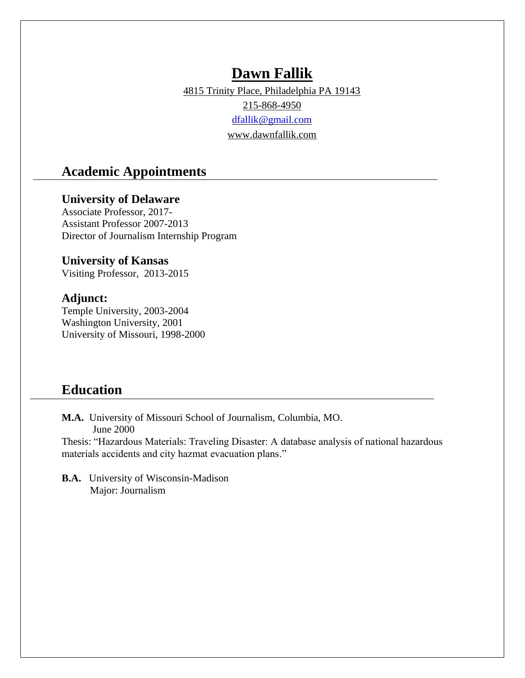# **Dawn Fallik**

4815 Trinity Place, Philadelphia PA 19143

215-868-4950

[dfallik@gmail.com](mailto:dfallik@gmail.com)

www.dawnfallik.com

## **Academic Appointments**

## **University of Delaware**

Associate Professor, 2017- Assistant Professor 2007-2013 Director of Journalism Internship Program

## **University of Kansas**

Visiting Professor, 2013-2015

## **Adjunct:**

Temple University, 2003-2004 Washington University, 2001 University of Missouri, 1998-2000

## **Education**

**M.A.** University of Missouri School of Journalism, Columbia, MO. June 2000

Thesis: "Hazardous Materials: Traveling Disaster: A database analysis of national hazardous materials accidents and city hazmat evacuation plans."

**B.A.** University of Wisconsin-Madison Major: Journalism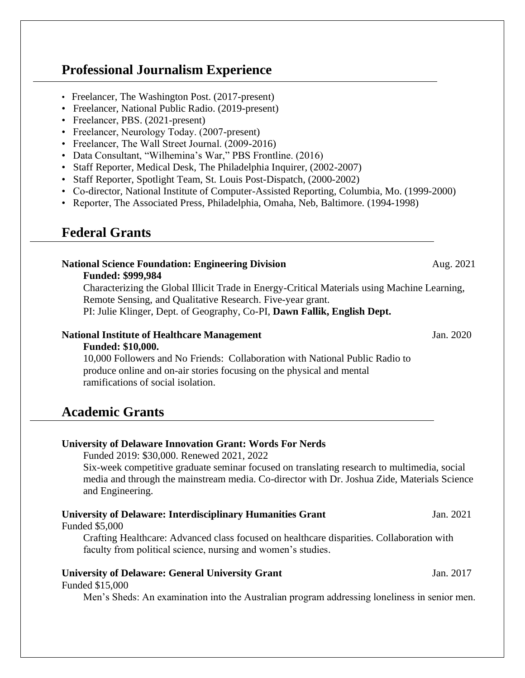# **Professional Journalism Experience**

- Freelancer, The Washington Post. (2017-present)
- Freelancer, National Public Radio. (2019-present)
- Freelancer, PBS. (2021-present)
- Freelancer, Neurology Today. (2007-present)
- Freelancer, The Wall Street Journal. (2009-2016)
- Data Consultant, "Wilhemina's War," PBS Frontline. (2016)
- Staff Reporter, Medical Desk, The Philadelphia Inquirer, (2002-2007)
- Staff Reporter, Spotlight Team, St. Louis Post-Dispatch, (2000-2002)
- Co-director, National Institute of Computer-Assisted Reporting, Columbia, Mo. (1999-2000)
- Reporter, The Associated Press, Philadelphia, Omaha, Neb, Baltimore. (1994-1998)

# **Federal Grants**

## **National Science Foundation: Engineering Division** Aug. 2021

### **Funded: \$999,984**

Characterizing the Global Illicit Trade in Energy-Critical Materials using Machine Learning, Remote Sensing, and Qualitative Research. Five-year grant. PI: Julie Klinger, Dept. of Geography, Co-PI, **Dawn Fallik, English Dept.** 

## **National Institute of Healthcare Management** Jan. 2020

### **Funded: \$10,000.**

10,000 Followers and No Friends: Collaboration with National Public Radio to produce online and on-air stories focusing on the physical and mental ramifications of social isolation.

## **Academic Grants**

## **University of Delaware Innovation Grant: Words For Nerds**

Funded 2019: \$30,000. Renewed 2021, 2022

Six-week competitive graduate seminar focused on translating research to multimedia, social media and through the mainstream media. Co-director with Dr. Joshua Zide, Materials Science and Engineering.

## **University of Delaware: Interdisciplinary Humanities Grant** Jan. 2021

Funded \$5,000

Crafting Healthcare: Advanced class focused on healthcare disparities. Collaboration with faculty from political science, nursing and women's studies.

## **University of Delaware: General University Grant** Jan. 2017

#### Funded \$15,000

Men's Sheds: An examination into the Australian program addressing loneliness in senior men.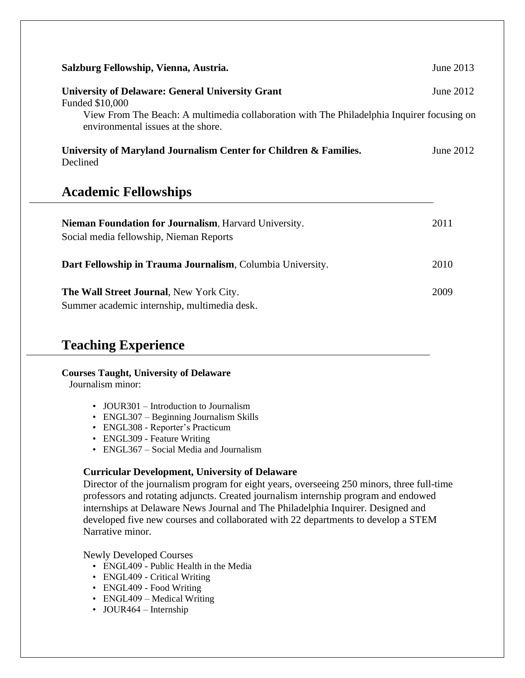| Salzburg Fellowship, Vienna, Austria.                                                                                            | June 2013 |
|----------------------------------------------------------------------------------------------------------------------------------|-----------|
| <b>University of Delaware: General University Grant</b><br>Funded \$10,000                                                       | June 2012 |
| View From The Beach: A multimedia collaboration with The Philadelphia Inquirer focusing on<br>environmental issues at the shore. |           |
| University of Maryland Journalism Center for Children & Families.<br>Declined                                                    | June 2012 |
| <b>Academic Fellowships</b>                                                                                                      |           |
| Nieman Foundation for Journalism, Harvard University.<br>Social media fellowship, Nieman Reports                                 | 2011      |
| Dart Fellowship in Trauma Journalism, Columbia University.                                                                       | 2010      |

**The Wall Street Journal**, New York City. 2009 Summer academic internship, multimedia desk.

# **Teaching Experience**

#### **Courses Taught, University of Delaware**

Journalism minor:

- JOUR301 Introduction to Journalism
- ENGL307 Beginning Journalism Skills
- ENGL308 Reporter's Practicum
- ENGL309 Feature Writing
- ENGL367 Social Media and Journalism

### **Curricular Development, University of Delaware**

Director of the journalism program for eight years, overseeing 250 minors, three full-time professors and rotating adjuncts. Created journalism internship program and endowed internships at Delaware News Journal and The Philadelphia Inquirer. Designed and developed five new courses and collaborated with 22 departments to develop a STEM Narrative minor.

Newly Developed Courses

- ENGL409 Public Health in the Media
- ENGL409 Critical Writing
- ENGL409 Food Writing
- ENGL409 Medical Writing
- JOUR464 Internship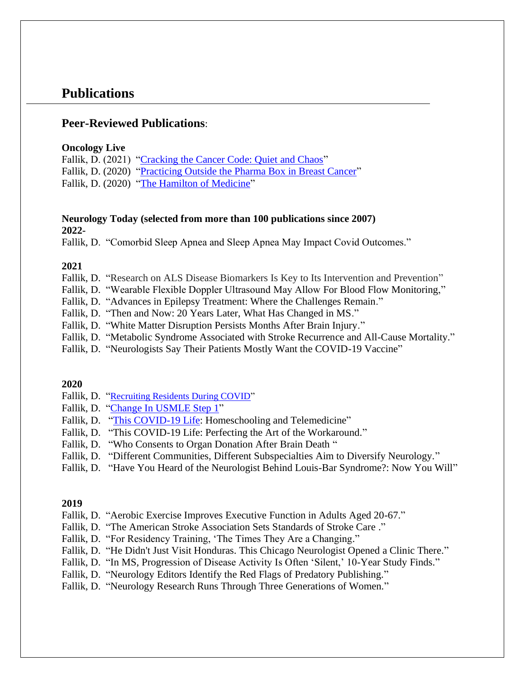## **Publications**

## **Peer-Reviewed Publications**:

#### **Oncology Live**

Fallik, D. (2021) ["Cracking the Cancer Code: Quiet and Chaos"](https://www.onclive.com/view/cracking-the-cancer-code-requires-both-quiet-and-chaos) Fallik, D. (2020) ["Practicing Outside the Pharma Box in Breast Cancer"](https://www.onclive.com/view/practicing-outside-the-pharma-box-in-breast-cancer) Fallik, D. (2020) ["The Hamilton of Medicine"](https://www.onclive.com/view/the-hamilton-of-medicine)

### **Neurology Today (selected from more than 100 publications since 2007) 2022-**

Fallik, D. "Comorbid Sleep Apnea and Sleep Apnea May Impact Covid Outcomes."

#### **2021**

Fallik, D. ["Research on ALS Disease Biomarkers Is Key to Its Intervention and Prevention"](https://journals.lww.com/neurotodayonline/blog/breakingnews/pages/post.aspx?PostID=1158)

- Fallik, D. "Wearable Flexible Doppler Ultrasound May Allow For Blood Flow Monitoring,"
- Fallik, D. "Advances in Epilepsy Treatment: Where the Challenges Remain."
- Fallik, D. "Then and Now: 20 Years Later, What Has Changed in MS."
- Fallik, D. "White Matter Disruption Persists Months After Brain Injury."
- Fallik, D. "Metabolic Syndrome Associated with Stroke Recurrence and All-Cause Mortality."
- Fallik, D. "Neurologists Say Their Patients Mostly Want the COVID-19 Vaccine"

#### **2020**

- Fallik, D. "[Recruiting Residents During COVID"](https://journals.lww.com/neurotodayonline/fulltext/2020/07090/recruiting_residents_during_covid_19.10.aspx)
- Fallik, D. ["Change In USMLE Step 1"](https://journals.lww.com/neurotodayonline/Fulltext/2020/04020/The_USMLE_Step_1_Is_Pass_Fail___How_Does_that.6.aspx?WT.mc_id=HPxADx20100319xMP)
- Fallik, D. ["This COVID-19 Life:](https://journals.lww.com/neurotodayonline/blog/breakingnews/pages/post.aspx?PostID=961) Homeschooling and Telemedicine"
- Fallik, D. "This COVID-19 Life: Perfecting the Art of the Workaround."
- Fallik, D. "Who Consents to Organ Donation After Brain Death"
- Fallik, D. "Different Communities, Different Subspecialties Aim to Diversify Neurology."
- Fallik, D. "Have You Heard of the Neurologist Behind Louis-Bar Syndrome?: Now You Will"

#### **2019**

- Fallik, D. "Aerobic Exercise Improves Executive Function in Adults Aged 20-67."
- Fallik, D. "The American Stroke Association Sets Standards of Stroke Care ."
- Fallik, D. "For Residency Training, 'The Times They Are a Changing."
- Fallik, D. "He Didn't Just Visit Honduras. This Chicago Neurologist Opened a Clinic There."
- Fallik, D. "In MS, Progression of Disease Activity Is Often 'Silent,' 10-Year Study Finds."
- Fallik, D. "Neurology Editors Identify the Red Flags of Predatory Publishing."
- Fallik, D. "Neurology Research Runs Through Three Generations of Women."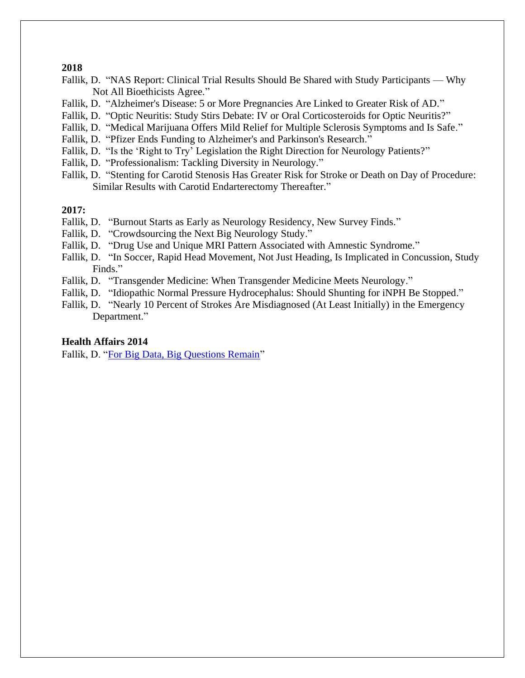#### **2018**

- Fallik, D. "NAS Report: Clinical Trial Results Should Be Shared with Study Participants Why Not All Bioethicists Agree."
- Fallik, D. "Alzheimer's Disease: 5 or More Pregnancies Are Linked to Greater Risk of AD."
- Fallik, D. "Optic Neuritis: Study Stirs Debate: IV or Oral Corticosteroids for Optic Neuritis?"
- Fallik, D. "Medical Marijuana Offers Mild Relief for Multiple Sclerosis Symptoms and Is Safe."
- Fallik, D. "Pfizer Ends Funding to Alzheimer's and Parkinson's Research."
- Fallik, D. "Is the 'Right to Try' Legislation the Right Direction for Neurology Patients?"
- Fallik, D. "Professionalism: Tackling Diversity in Neurology."
- Fallik, D. "Stenting for Carotid Stenosis Has Greater Risk for Stroke or Death on Day of Procedure: Similar Results with Carotid Endarterectomy Thereafter."

### **2017:**

- Fallik, D. "Burnout Starts as Early as Neurology Residency, New Survey Finds."
- Fallik, D. "Crowdsourcing the Next Big Neurology Study."
- Fallik, D. "Drug Use and Unique MRI Pattern Associated with Amnestic Syndrome."
- Fallik, D. "In Soccer, Rapid Head Movement, Not Just Heading, Is Implicated in Concussion, Study Finds."
- Fallik, D. "Transgender Medicine: When Transgender Medicine Meets Neurology."
- Fallik, D. "Idiopathic Normal Pressure Hydrocephalus: Should Shunting for iNPH Be Stopped."
- Fallik, D. "Nearly 10 Percent of Strokes Are Misdiagnosed (At Least Initially) in the Emergency Department."

### **Health Affairs 2014**

Fallik, D. ["For Big Data, Big Questions Remain"](https://www.healthaffairs.org/doi/full/10.1377/hlthaff.2014.0522)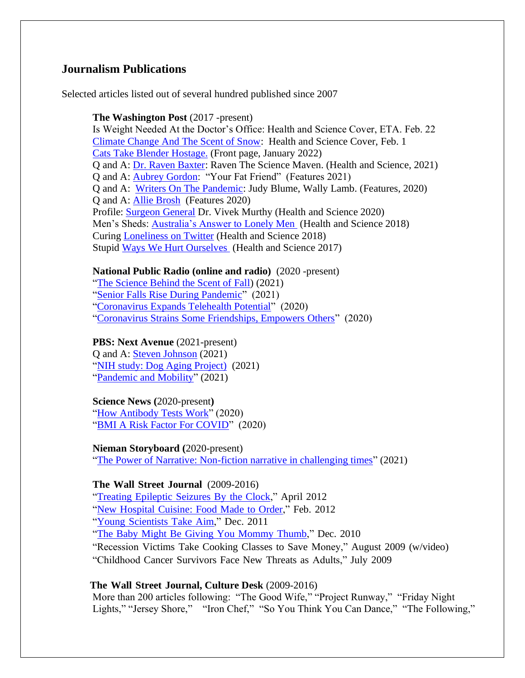## **Journalism Publications**

Selected articles listed out of several hundred published since 2007

#### **The Washington Post** (2017 -present)

Is Weight Needed At the Doctor's Office: Health and Science Cover, ETA. Feb. 22 [Climate Change And The Scent of Snow:](https://www.washingtonpost.com/science/2022/02/05/snow-smell-climate-change/) Health and Science Cover, Feb. 1 [Cats Take Blender Hostage.](https://www.washingtonpost.com/home/2022/01/08/cats-took-vitamix-hostage/) (Front page, January 2022) Q and A: [Dr. Raven Baxter:](https://www.washingtonpost.com/science/raven-the-science-maven/2021/09/24/e3415e9a-155c-11ec-9589-31ac3173c2e5_story.html) Raven The Science Maven. (Health and Science, 2021) Q and A: [Aubrey Gordon:](/Users/fallik/Desktop/jobs/Aubrey%20Gordon,%20the%20writer%20behind%20‘Your%20Fat%20Friend,’%20has%20some%20thoughts%20on%20diets,%20BMI%20and%20the%20relentless%20advice%20of%20strangers) "Your Fat Friend" (Features 2021) Q and A: [Writers On The Pandemic:](https://www.washingtonpost.com/entertainment/books/how-judy-blume-samantha-irby-jennifer-weiner-and-other-authors-are-spending-their-quarantine/2020/04/10/076093e6-7a9e-11ea-9bee-c5bf9d2e3288_story.html) Judy Blume, Wally Lamb. (Features, 2020) Q and A: [Allie Brosh](https://www.washingtonpost.com/entertainment/books/solutions-and-other-problems-author-allie-brosh-talks-cats-depressions-and-the-joys-of-zoom-book-tours/2020/10/07/211f8616-040a-11eb-897d-3a6201d6643f_story.html) (Features 2020) Profile: [Surgeon General](https://www.washingtonpost.com/health/loneliness-was-a-common-concern-he-heard-from-people-of-all-ages-it-inspired-his-book/2020/05/22/df398d74-945f-11ea-91d7-cf4423d47683_story.html) Dr. Vivek Murthy (Health and Science 2020) Men's Sheds: [Australia's Answer to Lonely Men](https://www.washingtonpost.com/national/health-science/what-to-do-about-lonely-older-men-put-them-to-work/2018/06/22/0c07efc8-53ab-11e8-a551-5b648abe29ef_story.html) (Health and Science 2018) Curing [Loneliness on Twitter](https://www.washingtonpost.com/lifestyle/2018/12/24/im-usually-lonely-jew-christmas-last-year-i-found-community-twitter/) (Health and Science 2018) Stupid [Ways We Hurt Ourselves](https://www.washingtonpost.com/news/to-your-health/wp/2017/12/22/whats-the-most-embarrassing-way-youve-ever-injured-yourself/) (Health and Science 2017)

#### **National Public Radio (online and radio)** (2020 -present)

["The Science Behind the Scent of Fall\)](https://whyy.org/articles/why-do-we-love-the-way-autumn-smells-its-not-about-pumpkin-spice/) (2021) ["Senior Falls Rise During Pandemic"](https://whyy.org/articles/getting-out-and-moving-helps-reduce-the-risk-of-falls-in-older-people-study-shows/) (2021) ["Coronavirus Expands Telehealth Potential"](https://whyy.org/articles/coronavirus-offers-the-chance-to-explore-telehealths-wider-potential/) (2020) ["Coronavirus Strains Some Friendships, Empowers Others"](https://whyy.org/articles/can-we-still-be-friends-coronavirus-means-working-at-formerly-easy-relationships/) (2020)

### **PBS: Next Avenue** (2021-present)

Q and A: [Steven Johnson](/Users/fallik/Desktop/jobs/teven%20Johnson) (2021) ["NIH study: Dog Aging Project\)](https://www.nextavenue.org/aging-study-dogs/) (2021) ["Pandemic and Mobility"](https://www.nextavenue.org/mobility-and-falls-pandemic/) (2021)

#### **Science News (**2020-present**)**

["How Antibody Tests Work"](https://www.sciencenews.org/article/covid-19-coronavirus-pandemic-how-antibody-blood-tests-work) (2020) ["BMI A Risk Factor For COVID"](https://www.sciencenews.org/article/coronavirus-covid19-obesity-risk-factor) (2020)

**Nieman Storyboard (**2020-present)

["The Power of Narrative: Non-fiction narrative in challenging times"](https://niemanstoryboard.org/stories/the-power-of-narrative-non-fiction-narrative-in-challenging-times) (2021)

#### **The Wall Street Journal** (2009-2016)

"Treating [Epileptic](https://www.wsj.com/articles/SB10001424052702303978104577361963045028278) Seizures By the Clock," April 2012

"New [Hospital](https://www.wsj.com/articles/SB10001424052970204642604577213390021632180) Cuisine: Food Made to Order," Feb. 2012

"Young [Scientists](https://www.wsj.com/articles/SB10001424052970204397704577074522055705182) Take Aim," Dec. 2011

"The Baby Might Be Giving You [Mommy](https://www.wsj.com/articles/SB10001424052748703350104575653223648778294) Thumb," Dec. 2010

"Recession Victims Take Cooking Classes to Save Money," August 2009 (w/video)

"Childhood Cancer Survivors Face New Threats as Adults," July 2009

#### **The Wall Street Journal, Culture Desk** (2009-2016)

More than 200 articles following: "The Good Wife," "Project Runway," "Friday Night Lights," "Jersey Shore," "Iron Chef," "So You Think You Can Dance," "The Following,"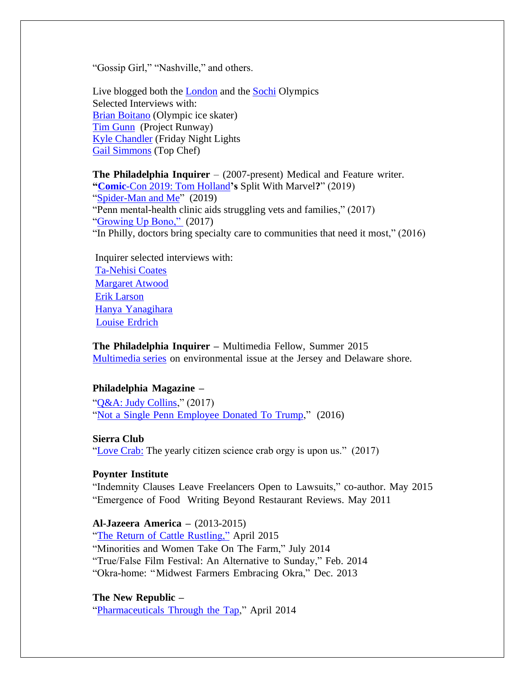"Gossip Girl," "Nashville," and others.

Live blogged both the [London](https://www.wsj.com/articles/BL-SEB-71188) and the [Sochi](https://www.wsj.com/articles/BL-SEB-79694) Olympics Selected Interviews with: [Brian Boitano](https://www.wsj.com/articles/BL-SEB-5762) (Olympic ice skater) [Tim Gunn](https://www.wsj.com/articles/BL-SEB-47641) (Project Runway) [Kyle Chandler](https://www.wsj.com/articles/BL-SEB-33980) (Friday Night Lights [Gail Simmons](https://www.wsj.com/articles/BL-SEB-46700) (Top Chef)

**The Philadelphia Inquirer** – (2007-present) Medical and Feature writer. **"Comic**[-Con 2019: Tom Holland](/Users/fallik/Desktop/jobs/Fallik,%20D.%20(2019).%20Philly’s%20Keystone%20Comic%20Con%20tells%20attendees%20not%20to%20ask%20Tom%20Holland%20about%20Spider-Man’s%20split%20from%20Marvel.)**'s** Split With Marvel**?**" (2019) ["Spider-Man and Me"](https://www.inquirer.com/celebrity/keystone-comic-con-philadelphia-tom-holland-spiderman-20190820.html) (2019) "Penn mental-health clinic aids struggling vets and families," (2017) ["Growing Up Bono,"](/Users/fallik/Desktop/jobs/Fallik,%20D.%20(2017).%20Growing%20up%20Bono%20in%20the%20land%20of%20The%20Boss.%20The%20Philadelphia%20Inquirer.%20https:/www.inquirer.com/philly/entertainment/growing-up-bono-in-the-land-of-the-boss-20170614.html) (2017) "In Philly, doctors bring specialty care to communities that need it most," (2016)

Inquirer selected interviews with: [Ta-Nehisi Coates](https://www.inquirer.com/philly/entertainment/arts/ta-nehisi-coates-the-real-real-life-of-writing-20171026.html) [Margaret Atwood](https://www.inquirer.com/philly/entertainment/literature/20151018_Q_A__Margaret_Atwood_talks_about_writing__editing__the_future__Elvis_robots__and_Mae_West.html) [Erik Larson](https://www.inquirer.com/philly/entertainment/literature/20160403_Erik_Larson_on_the_search_for_new_things_to_write_about.html) Hanya [Yanagihara](https://www.inquirer.com/philly/entertainment/literature/20160329_Hanya_Yanagihara_brings_her_big_life_to_the_Free_Library.html) Louise [Erdrich](https://www.inquirer.com/philly/entertainment/20160510_Louise_Erdrich_brings__LaRose__to_the_Free_Library.html)

**The Philadelphia Inquirer –** Multimedia Fellow, Summer 2015 [Multimedia series](https://dawnsviewfromthebeach.wordpress.com/type/video/) on environmental issue at the Jersey and Delaware shore.

#### **Philadelphia Magazine –**

"*Q&A: Judy Collins," (2017)* "Not a Single Penn [Employee](https://www.phillymag.com/news/2016/06/28/donald-trump-wharton-penn-donations/) Donated To Trump," (2016)

#### **Sierra Club**

["Love Crab:](https://www.sierraclub.org/sierra/love-crab) The yearly citizen science crab orgy is upon us."  $(2017)$ 

#### **Poynter Institute**

"Indemnity Clauses Leave Freelancers Open to Lawsuits," co-author. May 2015 "Emergence of Food Writing Beyond Restaurant Reviews. May 2011

#### **Al-Jazeera America –** (2013-2015)

"The Return of Cattle [Rustling,"](http://america.aljazeera.com/articles/2015/4/14/they-steal-cattle-dont-they-cattle-rustling-returns.html) April 2015 "Minorities and Women Take On The Farm," July 2014 "True/False Film Festival: An Alternative to Sunday," Feb. 2014 "Okra-home: "Midwest Farmers Embracing Okra," Dec. 2013

#### **The New Republic –**

["Pharmaceuticals](https://newrepublic.com/article/115883/drugs-drinking-water-new-epa-study-finds-more-we-knew) Through the Tap," April 2014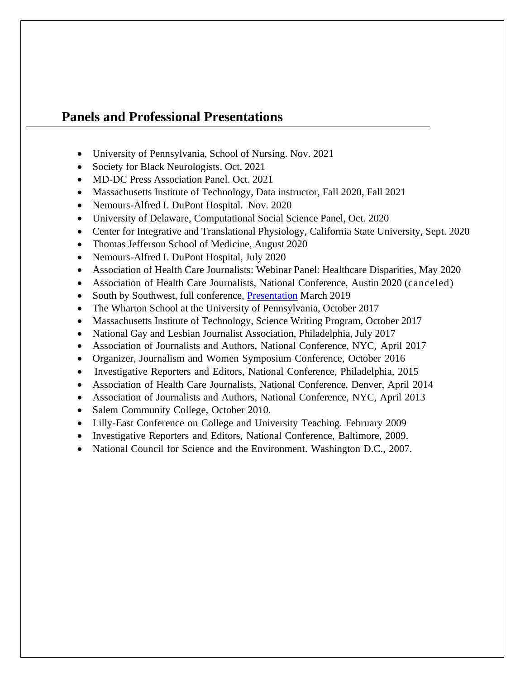## **Panels and Professional Presentations**

- University of Pennsylvania, School of Nursing. Nov. 2021
- Society for Black Neurologists. Oct. 2021
- MD-DC Press Association Panel. Oct. 2021
- Massachusetts Institute of Technology, Data instructor, Fall 2020, Fall 2021
- Nemours-Alfred I. DuPont Hospital. Nov. 2020
- University of Delaware, Computational Social Science Panel, Oct. 2020
- Center for Integrative and Translational Physiology, California State University, Sept. 2020
- Thomas Jefferson School of Medicine, August 2020
- Nemours-Alfred I. DuPont Hospital, July 2020
- Association of Health Care Journalists: Webinar Panel: Healthcare Disparities, May 2020
- Association of Health Care Journalists, National Conference, Austin 2020 (canceled)
- South by Southwest, full conference, [Presentation](https://schedule.sxsw.com/2019/events/PP103401) March 2019
- The Wharton School at the University of Pennsylvania, October 2017
- Massachusetts Institute of Technology, Science Writing Program, October 2017
- National Gay and Lesbian Journalist Association, Philadelphia, July 2017
- Association of Journalists and Authors, National Conference, NYC, April 2017
- Organizer, Journalism and Women Symposium Conference, October 2016
- Investigative Reporters and Editors, National Conference, Philadelphia, 2015
- Association of Health Care Journalists, National Conference, Denver, April 2014
- Association of Journalists and Authors, National Conference, NYC, April 2013
- Salem Community College, October 2010.
- Lilly-East Conference on College and University Teaching. February 2009
- Investigative Reporters and Editors, National Conference, Baltimore, 2009.
- National Council for Science and the Environment. Washington D.C., 2007.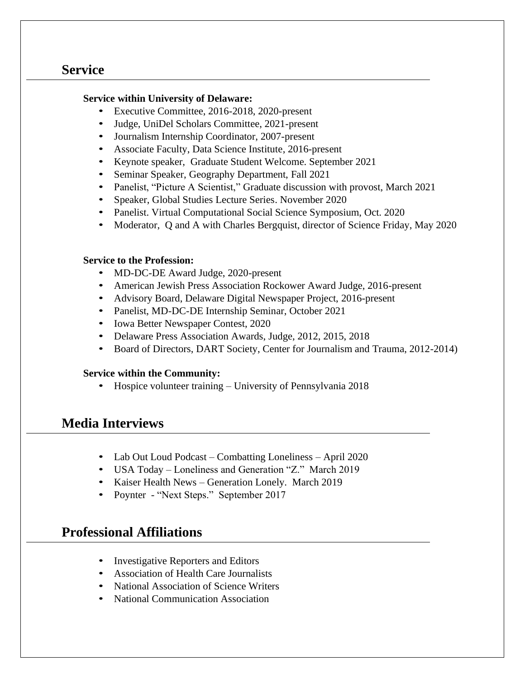# **Service**

## **Service within University of Delaware:**

- Executive Committee, 2016-2018, 2020-present
- Judge, UniDel Scholars Committee, 2021-present
- Journalism Internship Coordinator, 2007-present
- Associate Faculty, Data Science Institute, 2016-present
- Keynote speaker, Graduate Student Welcome. September 2021
- Seminar Speaker, Geography Department, Fall 2021
- Panelist, "Picture A Scientist," Graduate discussion with provost, March 2021
- Speaker, Global Studies Lecture Series. November 2020
- Panelist. Virtual Computational Social Science Symposium, Oct. 2020
- Moderator, Q and A with Charles Bergquist, director of Science Friday, May 2020

## **Service to the Profession:**

- MD-DC-DE Award Judge, 2020-present
- American Jewish Press Association Rockower Award Judge, 2016-present
- Advisory Board, Delaware Digital Newspaper Project, 2016-present
- Panelist, MD-DC-DE Internship Seminar, October 2021
- Iowa Better Newspaper Contest, 2020
- Delaware Press Association Awards, Judge, 2012, 2015, 2018
- Board of Directors, DART Society, Center for Journalism and Trauma, 2012-2014)

## **Service within the Community:**

• Hospice volunteer training – University of Pennsylvania 2018

# **Media Interviews**

- Lab Out Loud Podcast Combatting Loneliness April 2020
- USA Today Loneliness and Generation "Z." March 2019
- Kaiser Health News Generation Lonely. March 2019
- Poynter "Next Steps." September 2017

# **Professional Affiliations**

- Investigative Reporters and Editors
- Association of Health Care Journalists
- National Association of Science Writers
- National Communication Association